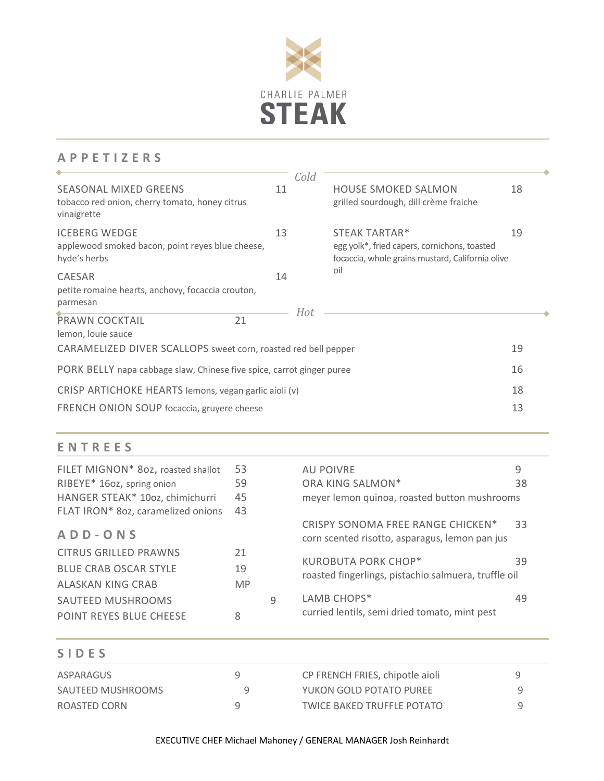

# **A PPETIZERS**

| SEASONAL MIXED GREENS<br>tobacco red onion, cherry tomato, honey citrus<br>vinaigrette                              | 11 | Cold | <b>HOUSE SMOKED SALMON</b><br>grilled sourdough, dill crème fraiche                                               | 18 |
|---------------------------------------------------------------------------------------------------------------------|----|------|-------------------------------------------------------------------------------------------------------------------|----|
| <b>ICEBERG WEDGE</b><br>applewood smoked bacon, point reyes blue cheese,<br>hyde's herbs                            | 13 |      | STEAK TARTAR*<br>egg yolk*, fried capers, cornichons, toasted<br>focaccia, whole grains mustard, California olive | 19 |
| CAESAR<br>petite romaine hearts, anchovy, focaccia crouton,<br>parmesan                                             | 14 | Hot  | oil                                                                                                               |    |
| 21<br><b>PRAWN COCKTAIL</b><br>lemon, louie sauce<br>CARAMELIZED DIVER SCALLOPS sweet corn, roasted red bell pepper |    |      |                                                                                                                   | 19 |
| PORK BELLY napa cabbage slaw, Chinese five spice, carrot ginger puree                                               |    |      |                                                                                                                   | 16 |
| CRISP ARTICHOKE HEARTS lemons, vegan garlic aioli (v)<br>FRENCH ONION SOUP focaccia, gruyere cheese                 |    |      |                                                                                                                   |    |

# **ENTREES**

| FILET MIGNON* 802, roasted shallot | 53        |   | <b>AU POIVRE</b>                                                                    | 9  |
|------------------------------------|-----------|---|-------------------------------------------------------------------------------------|----|
| RIBEYE* 160z, spring onion         | 59        |   | ORA KING SALMON*                                                                    | 38 |
| HANGER STEAK* 10oz, chimichurri    | 45        |   | meyer lemon quinoa, roasted button mushrooms                                        |    |
| FLAT IRON* 8oz, caramelized onions | 43        |   |                                                                                     |    |
| ADD-ONS                            |           |   | CRISPY SONOMA FREE RANGE CHICKEN*<br>corn scented risotto, asparagus, lemon pan jus | 33 |
| <b>CITRUS GRILLED PRAWNS</b>       | 21        |   |                                                                                     |    |
| <b>BLUE CRAB OSCAR STYLE</b>       | 19        |   | <b>KUROBUTA PORK CHOP*</b><br>roasted fingerlings, pistachio salmuera, truffle oil  | 39 |
| ALASKAN KING CRAB                  | <b>MP</b> |   |                                                                                     |    |
| SAUTEED MUSHROOMS                  |           | q | LAMB CHOPS*                                                                         | 49 |
| <b>POINT REYES BLUE CHEESE</b>     | 8         |   | curried lentils, semi dried tomato, mint pest                                       |    |

| <b>SIDES</b>      |                                 |   |
|-------------------|---------------------------------|---|
| ASPARAGUS         | CP FRENCH FRIES, chipotle aioli | ч |
| SAUTEED MUSHROOMS | YUKON GOLD POTATO PUREE         |   |
| ROASTED CORN      | TWICE BAKED TRUFFLE POTATO      |   |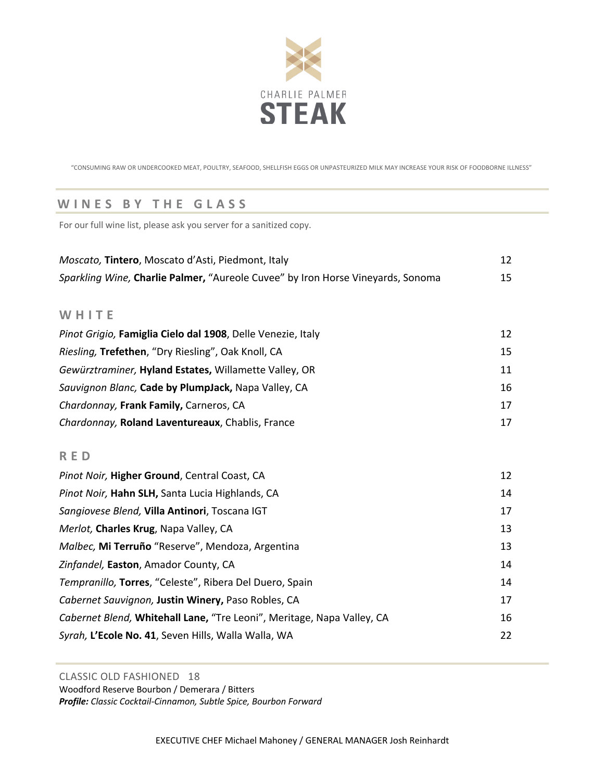

"CONSUMING RAW OR UNDERCOOKED MEAT, POULTRY, SEAFOOD, SHELLFISH EGGS OR UNPASTEURIZED MILK MAY INCREASE YOUR RISK OF FOODBORNE ILLNESS"

## **WINES BY THE GLASS**

For our full wine list, please ask you server for a sanitized copy.

| Moscato, Tintero, Moscato d'Asti, Piedmont, Italy                               |    |
|---------------------------------------------------------------------------------|----|
| Sparkling Wine, Charlie Palmer, "Aureole Cuvee" by Iron Horse Vineyards, Sonoma |    |
|                                                                                 |    |
| WHITE                                                                           |    |
| Pinot Grigio, Famiglia Cielo dal 1908, Delle Venezie, Italy                     | 12 |
| Riesling, Trefethen, "Dry Riesling", Oak Knoll, CA                              | 15 |
| Gewürztraminer, Hyland Estates, Willamette Valley, OR                           | 11 |
| Sauvignon Blanc, Cade by PlumpJack, Napa Valley, CA                             | 16 |

| Chardonnay, Frank Family, Carneros, CA           |  |
|--------------------------------------------------|--|
| Chardonnay, Roland Laventureaux, Chablis, France |  |

## **RED**

| Pinot Noir, Higher Ground, Central Coast, CA                           | 12 |
|------------------------------------------------------------------------|----|
| Pinot Noir, Hahn SLH, Santa Lucia Highlands, CA                        | 14 |
| Sangiovese Blend, Villa Antinori, Toscana IGT                          | 17 |
| Merlot, Charles Krug, Napa Valley, CA                                  | 13 |
| Malbec, Mi Terruño "Reserve", Mendoza, Argentina                       | 13 |
| Zinfandel, Easton, Amador County, CA                                   | 14 |
| Tempranillo, Torres, "Celeste", Ribera Del Duero, Spain                | 14 |
| Cabernet Sauvignon, Justin Winery, Paso Robles, CA                     | 17 |
| Cabernet Blend, Whitehall Lane, "Tre Leoni", Meritage, Napa Valley, CA | 16 |
| Syrah, L'Ecole No. 41, Seven Hills, Walla Walla, WA                    | 22 |

## CLASSIC OLD FASHIONED 18

Woodford Reserve Bourbon / Demerara / Bitters

*Profile: Classic Cocktail-Cinnamon, Subtle Spice, Bourbon Forward*